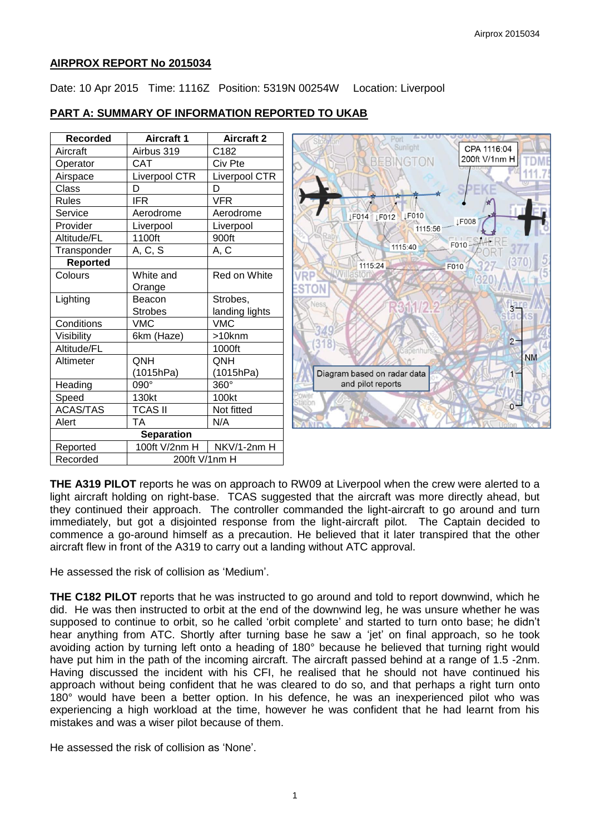### **AIRPROX REPORT No 2015034**

Date: 10 Apr 2015 Time: 1116Z Position: 5319N 00254W Location: Liverpool

### **PART A: SUMMARY OF INFORMATION REPORTED TO UKAB**

| Recorded          | <b>Aircraft 1</b> | <b>Aircraft 2</b> |
|-------------------|-------------------|-------------------|
| Aircraft          | Airbus 319        | C182              |
| Operator          | <b>CAT</b>        | Civ Pte           |
| Airspace          | Liverpool CTR     | Liverpool CTR     |
| Class             | D                 | D                 |
| <b>Rules</b>      | <b>IFR</b>        | VFR               |
| Service           | Aerodrome         | Aerodrome         |
| Provider          | Liverpool         | Liverpool         |
| Altitude/FL       | 1100ft            | 900ft             |
| Transponder       | A, C, S           | A, C              |
| <b>Reported</b>   |                   |                   |
| Colours           | White and         | Red on White      |
|                   | Orange            |                   |
| Lighting          | Beacon            | Strobes,          |
|                   | <b>Strobes</b>    | landing lights    |
| Conditions        | <b>VMC</b>        | <b>VMC</b>        |
| Visibility        | 6km (Haze)        | >10knm            |
| Altitude/FL       |                   | 1000ft            |
| Altimeter         | QNH               | ONH               |
|                   | (1015hPa)         | (1015hPa)         |
| Heading           | 090°              | $360^\circ$       |
| Speed             | 130kt             | 100kt             |
| <b>ACAS/TAS</b>   | <b>TCAS II</b>    | Not fitted        |
| Alert             | ТA                | N/A               |
| <b>Separation</b> |                   |                   |
| Reported          | 100ft V/2nm H     | NKV/1-2nm H       |
| Recorded          | 200ft V/1nm H     |                   |



**THE A319 PILOT** reports he was on approach to RW09 at Liverpool when the crew were alerted to a light aircraft holding on right-base. TCAS suggested that the aircraft was more directly ahead, but they continued their approach. The controller commanded the light-aircraft to go around and turn immediately, but got a disjointed response from the light-aircraft pilot. The Captain decided to commence a go-around himself as a precaution. He believed that it later transpired that the other aircraft flew in front of the A319 to carry out a landing without ATC approval.

He assessed the risk of collision as 'Medium'.

**THE C182 PILOT** reports that he was instructed to go around and told to report downwind, which he did. He was then instructed to orbit at the end of the downwind leg, he was unsure whether he was supposed to continue to orbit, so he called 'orbit complete' and started to turn onto base; he didn't hear anything from ATC. Shortly after turning base he saw a 'jet' on final approach, so he took avoiding action by turning left onto a heading of 180° because he believed that turning right would have put him in the path of the incoming aircraft. The aircraft passed behind at a range of 1.5 -2nm. Having discussed the incident with his CFI, he realised that he should not have continued his approach without being confident that he was cleared to do so, and that perhaps a right turn onto 180° would have been a better option. In his defence, he was an inexperienced pilot who was experiencing a high workload at the time, however he was confident that he had learnt from his mistakes and was a wiser pilot because of them.

He assessed the risk of collision as 'None'.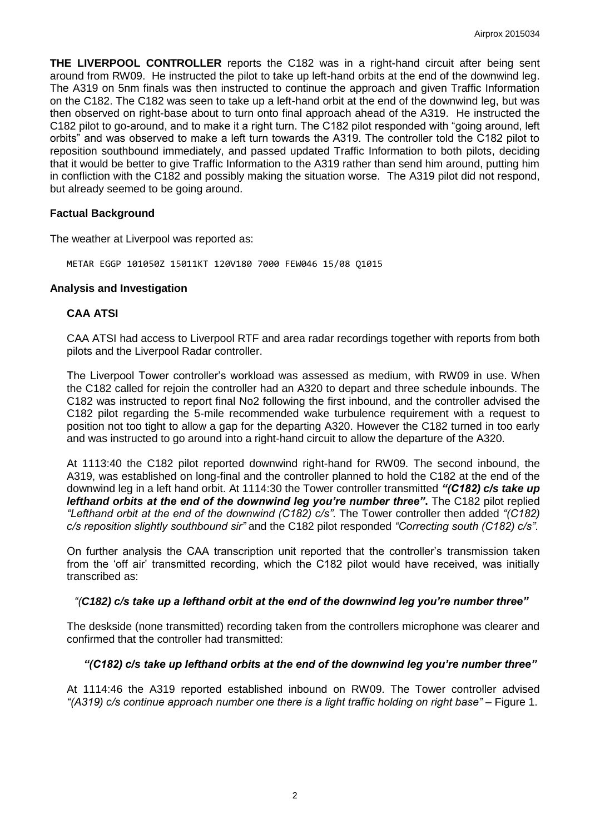**THE LIVERPOOL CONTROLLER** reports the C182 was in a right-hand circuit after being sent around from RW09. He instructed the pilot to take up left-hand orbits at the end of the downwind leg. The A319 on 5nm finals was then instructed to continue the approach and given Traffic Information on the C182. The C182 was seen to take up a left-hand orbit at the end of the downwind leg, but was then observed on right-base about to turn onto final approach ahead of the A319. He instructed the C182 pilot to go-around, and to make it a right turn. The C182 pilot responded with "going around, left orbits" and was observed to make a left turn towards the A319. The controller told the C182 pilot to reposition southbound immediately, and passed updated Traffic Information to both pilots, deciding that it would be better to give Traffic Information to the A319 rather than send him around, putting him in confliction with the C182 and possibly making the situation worse. The A319 pilot did not respond, but already seemed to be going around.

#### **Factual Background**

The weather at Liverpool was reported as:

METAR EGGP 101050Z 15011KT 120V180 7000 FEW046 15/08 Q1015

### **Analysis and Investigation**

### **CAA ATSI**

CAA ATSI had access to Liverpool RTF and area radar recordings together with reports from both pilots and the Liverpool Radar controller.

The Liverpool Tower controller's workload was assessed as medium, with RW09 in use. When the C182 called for rejoin the controller had an A320 to depart and three schedule inbounds. The C182 was instructed to report final No2 following the first inbound, and the controller advised the C182 pilot regarding the 5-mile recommended wake turbulence requirement with a request to position not too tight to allow a gap for the departing A320. However the C182 turned in too early and was instructed to go around into a right-hand circuit to allow the departure of the A320.

At 1113:40 the C182 pilot reported downwind right-hand for RW09. The second inbound, the A319, was established on long-final and the controller planned to hold the C182 at the end of the downwind leg in a left hand orbit. At 1114:30 the Tower controller transmitted *"(C182) c/s take up lefthand orbits at the end of the downwind leg you're number three"***.** The C182 pilot replied *"Lefthand orbit at the end of the downwind (C182) c/s"*. The Tower controller then added *"(C182) c/s reposition slightly southbound sir"* and the C182 pilot responded *"Correcting south (C182) c/s"*.

On further analysis the CAA transcription unit reported that the controller's transmission taken from the 'off air' transmitted recording, which the C182 pilot would have received, was initially transcribed as:

## *"(C182) c/s take up a lefthand orbit at the end of the downwind leg you're number three"*

The deskside (none transmitted) recording taken from the controllers microphone was clearer and confirmed that the controller had transmitted:

## *"(C182) c/s take up lefthand orbits at the end of the downwind leg you're number three"*

At 1114:46 the A319 reported established inbound on RW09. The Tower controller advised *"(A319) c/s continue approach number one there is a light traffic holding on right base"* – Figure 1.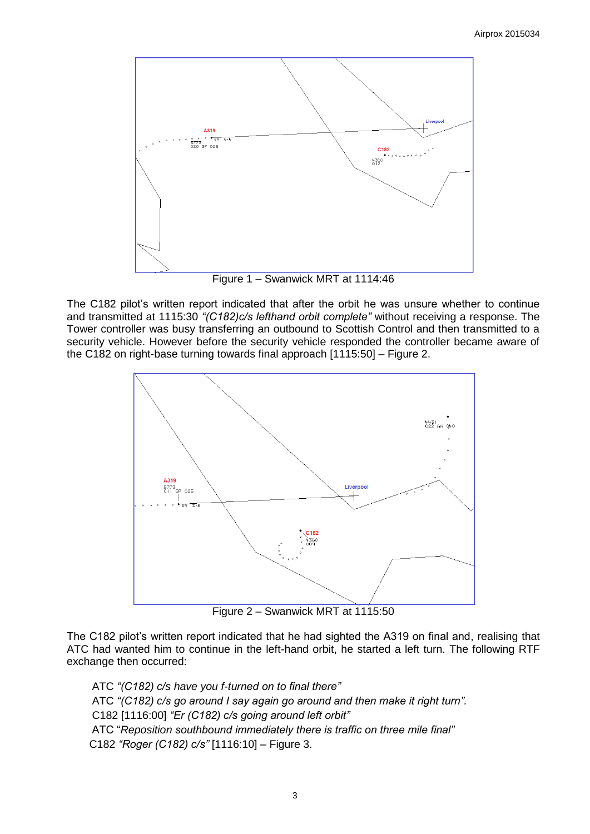

Figure 1 – Swanwick MRT at 1114:46

The C182 pilot's written report indicated that after the orbit he was unsure whether to continue and transmitted at 1115:30 *"(C182)c/s lefthand orbit complete"* without receiving a response. The Tower controller was busy transferring an outbound to Scottish Control and then transmitted to a security vehicle. However before the security vehicle responded the controller became aware of the C182 on right-base turning towards final approach [1115:50] – Figure 2.



Figure 2 – Swanwick MRT at 1115:50

The C182 pilot's written report indicated that he had sighted the A319 on final and, realising that ATC had wanted him to continue in the left-hand orbit, he started a left turn. The following RTF exchange then occurred:

ATC *"(C182) c/s have you f-turned on to final there"* ATC *"(C182) c/s go around I say again go around and then make it right turn".* C182 [1116:00] *"Er (C182) c/s going around left orbit"* ATC "*Reposition southbound immediately there is traffic on three mile final"* C182 *"Roger (C182) c/s"* [1116:10] – Figure 3.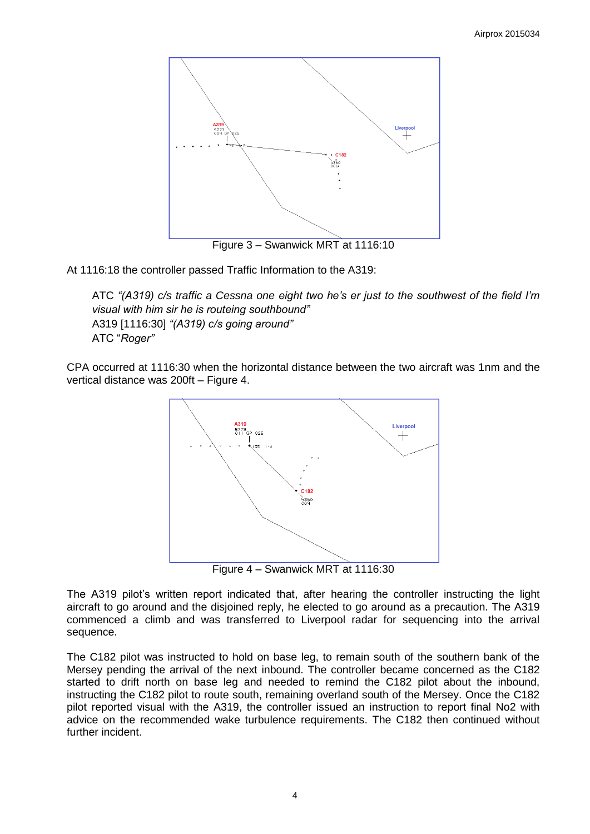

At 1116:18 the controller passed Traffic Information to the A319:

ATC *"(A319) c/s traffic a Cessna one eight two he's er just to the southwest of the field I'm visual with him sir he is routeing southbound"* A319 [1116:30] *"(A319) c/s going around"* ATC "*Roger"*

CPA occurred at 1116:30 when the horizontal distance between the two aircraft was 1nm and the vertical distance was 200ft – Figure 4.



Figure 4 – Swanwick MRT at 1116:30

The A319 pilot's written report indicated that, after hearing the controller instructing the light aircraft to go around and the disjoined reply, he elected to go around as a precaution. The A319 commenced a climb and was transferred to Liverpool radar for sequencing into the arrival sequence.

The C182 pilot was instructed to hold on base leg, to remain south of the southern bank of the Mersey pending the arrival of the next inbound. The controller became concerned as the C182 started to drift north on base leg and needed to remind the C182 pilot about the inbound, instructing the C182 pilot to route south, remaining overland south of the Mersey. Once the C182 pilot reported visual with the A319, the controller issued an instruction to report final No2 with advice on the recommended wake turbulence requirements. The C182 then continued without further incident.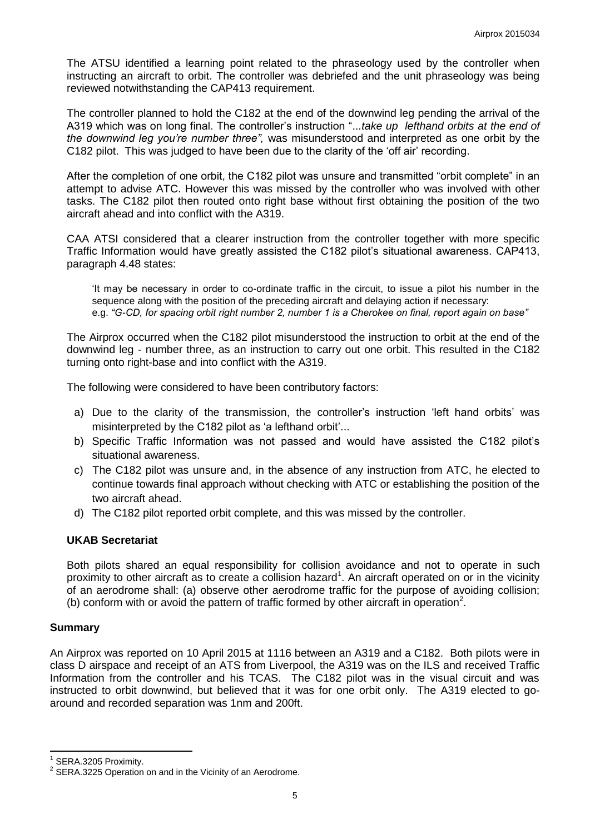The ATSU identified a learning point related to the phraseology used by the controller when instructing an aircraft to orbit. The controller was debriefed and the unit phraseology was being reviewed notwithstanding the CAP413 requirement.

The controller planned to hold the C182 at the end of the downwind leg pending the arrival of the A319 which was on long final. The controller's instruction "...*take up lefthand orbits at the end of the downwind leg you're number three",* was misunderstood and interpreted as one orbit by the C182 pilot.This was judged to have been due to the clarity of the 'off air' recording.

After the completion of one orbit, the C182 pilot was unsure and transmitted "orbit complete" in an attempt to advise ATC. However this was missed by the controller who was involved with other tasks. The C182 pilot then routed onto right base without first obtaining the position of the two aircraft ahead and into conflict with the A319.

CAA ATSI considered that a clearer instruction from the controller together with more specific Traffic Information would have greatly assisted the C182 pilot's situational awareness. CAP413, paragraph 4.48 states:

'It may be necessary in order to co-ordinate traffic in the circuit, to issue a pilot his number in the sequence along with the position of the preceding aircraft and delaying action if necessary: e.g. *"G-CD, for spacing orbit right number 2, number 1 is a Cherokee on final, report again on base"*

The Airprox occurred when the C182 pilot misunderstood the instruction to orbit at the end of the downwind leg - number three, as an instruction to carry out one orbit. This resulted in the C182 turning onto right-base and into conflict with the A319.

The following were considered to have been contributory factors:

- a) Due to the clarity of the transmission, the controller's instruction 'left hand orbits' was misinterpreted by the C182 pilot as 'a lefthand orbit'...
- b) Specific Traffic Information was not passed and would have assisted the C182 pilot's situational awareness.
- c) The C182 pilot was unsure and, in the absence of any instruction from ATC, he elected to continue towards final approach without checking with ATC or establishing the position of the two aircraft ahead.
- d) The C182 pilot reported orbit complete, and this was missed by the controller.

## **UKAB Secretariat**

Both pilots shared an equal responsibility for collision avoidance and not to operate in such proximity to other aircraft as to create a collision hazard<sup>1</sup>. An aircraft operated on or in the vicinity of an aerodrome shall: (a) observe other aerodrome traffic for the purpose of avoiding collision; (b) conform with or avoid the pattern of traffic formed by other aircraft in operation<sup>2</sup>.

#### **Summary**

 $\overline{\phantom{a}}$ 

An Airprox was reported on 10 April 2015 at 1116 between an A319 and a C182. Both pilots were in class D airspace and receipt of an ATS from Liverpool, the A319 was on the ILS and received Traffic Information from the controller and his TCAS. The C182 pilot was in the visual circuit and was instructed to orbit downwind, but believed that it was for one orbit only. The A319 elected to goaround and recorded separation was 1nm and 200ft.

<sup>1</sup> SERA.3205 Proximity.

 $2$  SERA.3225 Operation on and in the Vicinity of an Aerodrome.